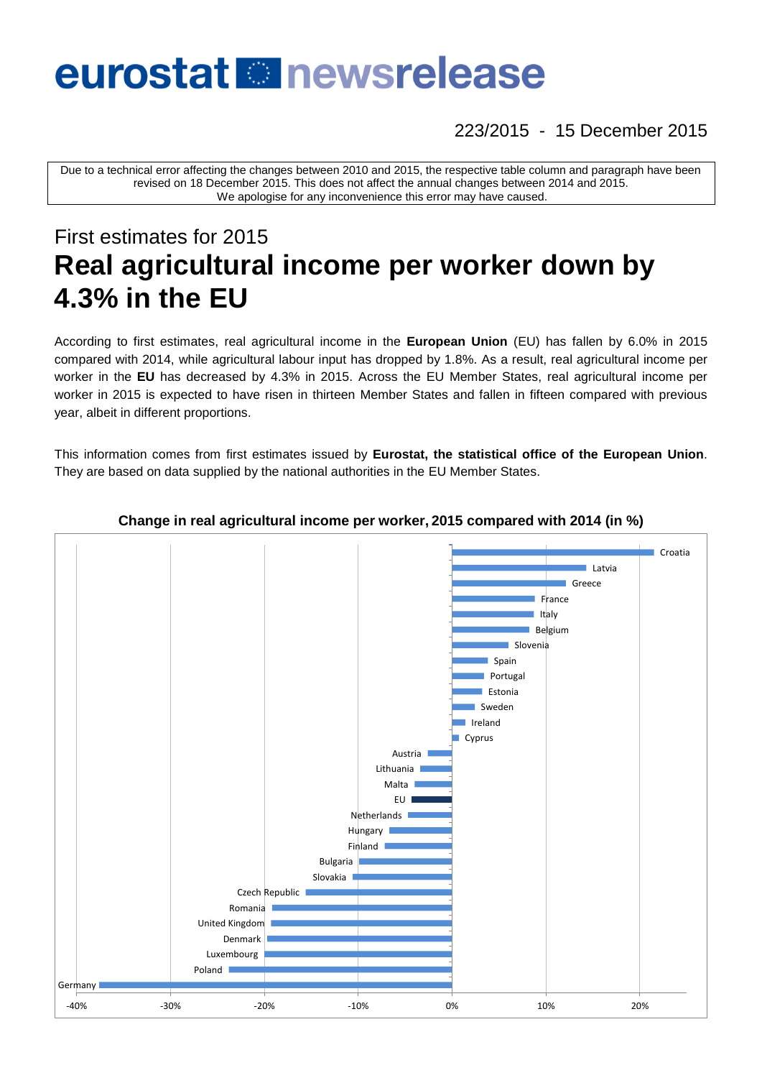# eurostat **Et newsrelease**

223/2015 - 15 December 2015

Due to a technical error affecting the changes between 2010 and 2015, the respective table column and paragraph have been revised on 18 December 2015. This does not affect the annual changes between 2014 and 2015. We apologise for any inconvenience this error may have caused.

# First estimates for 2015 **Real agricultural income per worker down by 4.3% in the EU**

According to first estimates, real agricultural income in the **European Union** (EU) has fallen by 6.0% in 2015 compared with 2014, while agricultural labour input has dropped by 1.8%. As a result, real agricultural income per worker in the **EU** has decreased by 4.3% in 2015. Across the EU Member States, real agricultural income per worker in 2015 is expected to have risen in thirteen Member States and fallen in fifteen compared with previous year, albeit in different proportions.

This information comes from first estimates issued by **Eurostat, the statistical office of the European Union**. They are based on data supplied by the national authorities in the EU Member States.



## **Change in real agricultural income per worker, 2015 compared with 2014 (in %)**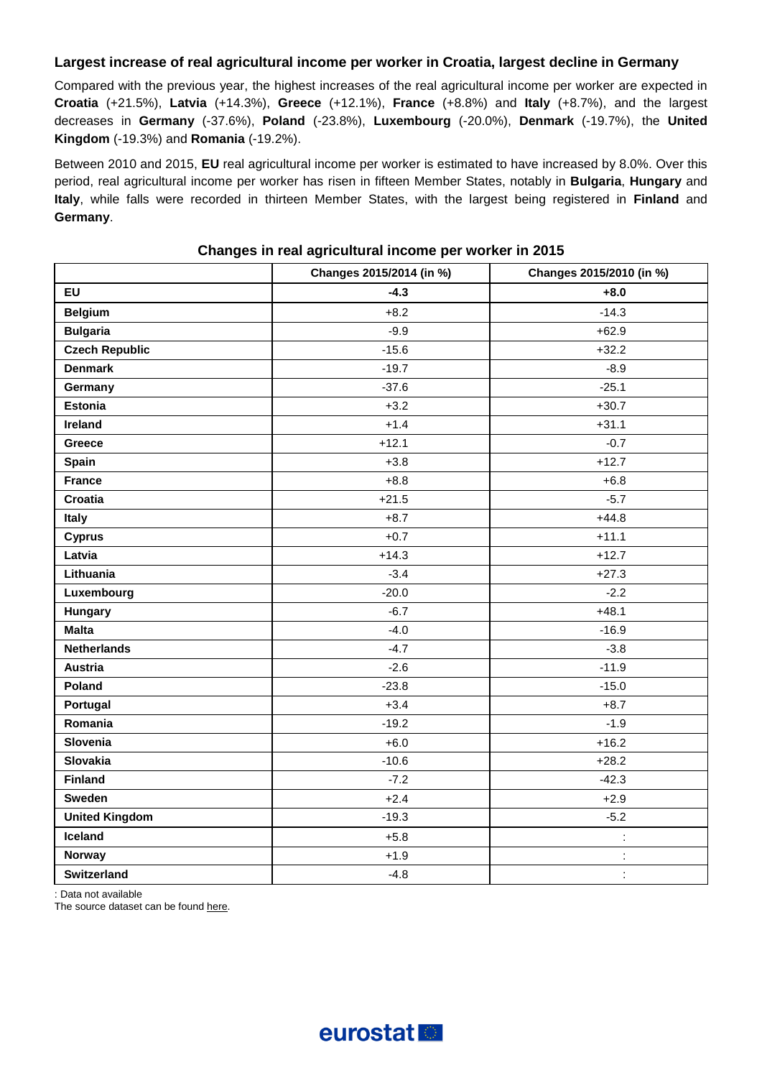# **Largest increase of real agricultural income per worker in Croatia, largest decline in Germany**

Compared with the previous year, the highest increases of the real agricultural income per worker are expected in **Croatia** (+21.5%), **Latvia** (+14.3%), **Greece** (+12.1%), **France** (+8.8%) and **Italy** (+8.7%), and the largest decreases in **Germany** (-37.6%), **Poland** (-23.8%), **Luxembourg** (-20.0%), **Denmark** (-19.7%), the **United Kingdom** (-19.3%) and **Romania** (-19.2%).

Between 2010 and 2015, **EU** real agricultural income per worker is estimated to have increased by 8.0%. Over this period, real agricultural income per worker has risen in fifteen Member States, notably in **Bulgaria**, **Hungary** and **Italy**, while falls were recorded in thirteen Member States, with the largest being registered in **Finland** and **Germany**.

|                       | Changes 2015/2014 (in %) | Changes 2015/2010 (in %) |
|-----------------------|--------------------------|--------------------------|
| <b>EU</b>             | $-4.3$                   | $+8.0$                   |
| <b>Belgium</b>        | $+8.2$                   | $-14.3$                  |
| <b>Bulgaria</b>       | $-9.9$                   | $+62.9$                  |
| <b>Czech Republic</b> | $-15.6$                  | $+32.2$                  |
| <b>Denmark</b>        | $-19.7$                  | $-8.9$                   |
| Germany               | $-37.6$                  | $-25.1$                  |
| Estonia               | $+3.2$                   | $+30.7$                  |
| Ireland               | $+1.4$                   | $+31.1$                  |
| Greece                | $+12.1$                  | $-0.7$                   |
| Spain                 | $+3.8$                   | $+12.7$                  |
| <b>France</b>         | $+8.8$                   | $+6.8$                   |
| Croatia               | $+21.5$                  | $-5.7$                   |
| Italy                 | $+8.7$                   | $+44.8$                  |
| <b>Cyprus</b>         | $+0.7$                   | $+11.1$                  |
| Latvia                | $+14.3$                  | $+12.7$                  |
| Lithuania             | $-3.4$                   | $+27.3$                  |
| Luxembourg            | $-20.0$                  | $-2.2$                   |
| Hungary               | $-6.7$                   | $+48.1$                  |
| <b>Malta</b>          | $-4.0$                   | $-16.9$                  |
| <b>Netherlands</b>    | $-4.7$                   | $-3.8$                   |
| <b>Austria</b>        | $-2.6$                   | $-11.9$                  |
| Poland                | $-23.8$                  | $-15.0$                  |
| Portugal              | $+3.4$                   | $+8.7$                   |
| Romania               | $-19.2$                  | $-1.9$                   |
| Slovenia              | $+6.0$                   | $+16.2$                  |
| <b>Slovakia</b>       | $-10.6$                  | $+28.2$                  |
| <b>Finland</b>        | $-7.2$                   | $-42.3$                  |
| Sweden                | $+2.4$                   | $+2.9$                   |
| <b>United Kingdom</b> | $-19.3$                  | $-5.2$                   |
| Iceland               | $+5.8$                   | t,                       |
| Norway                | $+1.9$                   | Ì,                       |
| Switzerland           | $-4.8$                   | t,                       |

# **Changes in real agricultural income per worker in 2015**

: Data not available

The source dataset can be foun[d here.](http://appsso.eurostat.ec.europa.eu/nui/show.do?query=BOOKMARK_DS-092704_QID_64E7CA07_UID_-3F171EB0&layout=TIME,C,X,0;UNIT,L,X,1;GEO,L,Y,0;ITM_NEWA,L,Z,0;INDICATORS,C,Z,1;&zSelection=DS-092704INDICATORS,OBS_FLAG;DS-092704ITM_NEWA,IND_A_EURO;&rankName1=INDICATORS_1_2_-1_2&rankName2=ITM-NEWA_1_2_-1_2&rankName3=TIME_1_0_0_0&rankName4=UNIT_1_2_1_0&rankName5=GEO_1_2_0_1&sortC=ASC_-1_FIRST&rStp=&cStp=&rDCh=&cDCh=&rDM=true&cDM=true&footnes=false&empty=false&wai=false&time_mode=ROLLING&time_most_recent=true&lang=EN&cfo=%23%23%23%2C%23%23%23.%23%23%23)